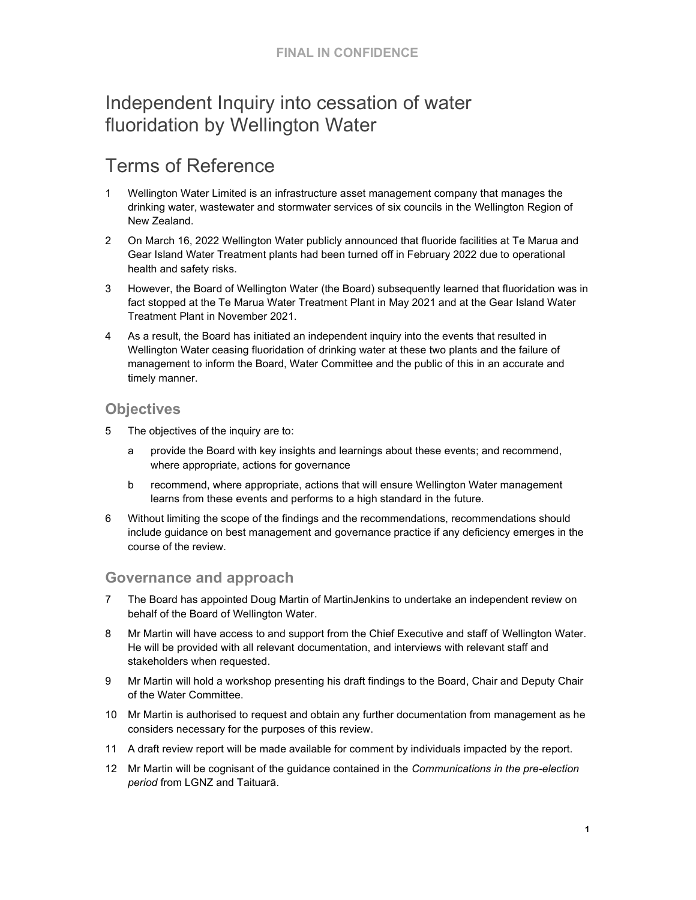# Independent Inquiry into cessation of water fluoridation by Wellington Water

# Terms of Reference

- 1 Wellington Water Limited is an infrastructure asset management company that manages the drinking water, wastewater and stormwater services of six councils in the Wellington Region of New Zealand.
- 2 On March 16, 2022 Wellington Water publicly announced that fluoride facilities at Te Marua and Gear Island Water Treatment plants had been turned off in February 2022 due to operational health and safety risks.
- 3 However, the Board of Wellington Water (the Board) subsequently learned that fluoridation was in fact stopped at the Te Marua Water Treatment Plant in May 2021 and at the Gear Island Water Treatment Plant in November 2021.
- 4 As a result, the Board has initiated an independent inquiry into the events that resulted in Wellington Water ceasing fluoridation of drinking water at these two plants and the failure of management to inform the Board, Water Committee and the public of this in an accurate and timely manner.

#### **Objectives**

- 5 The objectives of the inquiry are to:
	- a provide the Board with key insights and learnings about these events; and recommend, where appropriate, actions for governance
	- b recommend, where appropriate, actions that will ensure Wellington Water management learns from these events and performs to a high standard in the future.
- 6 Without limiting the scope of the findings and the recommendations, recommendations should include guidance on best management and governance practice if any deficiency emerges in the course of the review.

### Governance and approach

- 7 The Board has appointed Doug Martin of MartinJenkins to undertake an independent review on behalf of the Board of Wellington Water.
- 8 Mr Martin will have access to and support from the Chief Executive and staff of Wellington Water. He will be provided with all relevant documentation, and interviews with relevant staff and stakeholders when requested.
- 9 Mr Martin will hold a workshop presenting his draft findings to the Board, Chair and Deputy Chair of the Water Committee.
- 10 Mr Martin is authorised to request and obtain any further documentation from management as he considers necessary for the purposes of this review.
- 11 A draft review report will be made available for comment by individuals impacted by the report.
- 12 Mr Martin will be cognisant of the guidance contained in the Communications in the pre-election period from LGNZ and Taituarā.